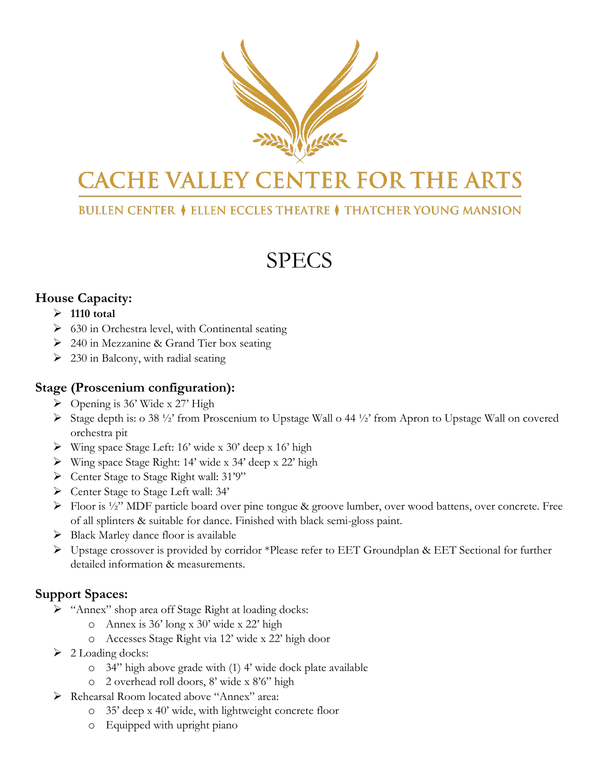

# **CACHE VALLEY CENTER FOR THE ARTS**

## **BULLEN CENTER ♦ ELLEN ECCLES THEATRE ♦ THATCHER YOUNG MANSION**

# SPECS

### **House Capacity:**

#### **1110 total**

- $\triangleright$  630 in Orchestra level, with Continental seating
- 240 in Mezzanine & Grand Tier box seating
- $\geq$  230 in Balcony, with radial seating

#### **Stage (Proscenium configuration):**

- $\triangleright$  Opening is 36' Wide x 27' High
- Stage depth is: o 38 ½' from Proscenium to Upstage Wall o 44 ½' from Apron to Upstage Wall on covered orchestra pit
- Wing space Stage Left: 16' wide x 30' deep x 16' high
- Wing space Stage Right: 14' wide x 34' deep x 22' high
- Center Stage to Stage Right wall: 31'9"
- Center Stage to Stage Left wall: 34'
- Floor is ½" MDF particle board over pine tongue & groove lumber, over wood battens, over concrete. Free of all splinters & suitable for dance. Finished with black semi-gloss paint.
- $\triangleright$  Black Marley dance floor is available
- Upstage crossover is provided by corridor \*Please refer to EET Groundplan & EET Sectional for further detailed information & measurements.

### **Support Spaces:**

- > "Annex" shop area off Stage Right at loading docks:
	- o Annex is 36' long x 30' wide x 22' high
	- o Accesses Stage Right via 12' wide x 22' high door
- $\geq 2$  Loading docks:
	- o 34" high above grade with (1) 4' wide dock plate available
	- o 2 overhead roll doors, 8' wide x 8'6" high
- Rehearsal Room located above "Annex" area:
	- o 35' deep x 40' wide, with lightweight concrete floor
	- o Equipped with upright piano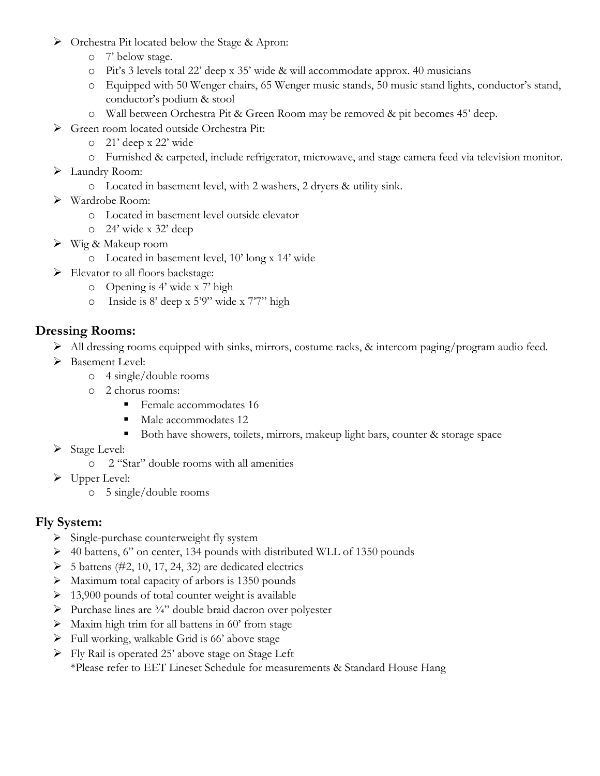- Orchestra Pit located below the Stage & Apron:
	- o 7' below stage.
	- o Pit's 3 levels total 22' deep x 35' wide & will accommodate approx. 40 musicians
	- o Equipped with 50 Wenger chairs, 65 Wenger music stands, 50 music stand lights, conductor's stand, conductor's podium & stool
	- o Wall between Orchestra Pit & Green Room may be removed & pit becomes 45' deep.
- Green room located outside Orchestra Pit:
	- o 21' deep x 22' wide
	- o Furnished & carpeted, include refrigerator, microwave, and stage camera feed via television monitor.
- > Laundry Room:
	- o Located in basement level, with 2 washers, 2 dryers & utility sink.
- Wardrobe Room:
	- o Located in basement level outside elevator
	- o 24' wide x 32' deep
- $\triangleright$  Wig & Makeup room
	- o Located in basement level, 10' long x 14' wide
- Elevator to all floors backstage:
	- o Opening is 4' wide x 7' high
	- o Inside is 8' deep x 5'9" wide x 7'7" high

### **Dressing Rooms:**

- All dressing rooms equipped with sinks, mirrors, costume racks, & intercom paging/program audio feed.
- > Basement Level:
	- o 4 single/double rooms
	- o 2 chorus rooms:
		- **Female accommodates 16**
		- Male accommodates 12
		- Both have showers, toilets, mirrors, makeup light bars, counter & storage space
- $\triangleright$  Stage Level:
	- o 2 "Star" double rooms with all amenities
- $\triangleright$  Upper Level:
	- o 5 single/double rooms

### **Fly System:**

- Single-purchase counterweight fly system
- $\geq$  40 battens, 6" on center, 134 pounds with distributed WLL of 1350 pounds
- $\triangleright$  5 battens (#2, 10, 17, 24, 32) are dedicated electrics
- $\triangleright$  Maximum total capacity of arbors is 1350 pounds
- $\geq 13,900$  pounds of total counter weight is available
- Purchase lines are  $\frac{3}{4}$  double braid dacron over polyester
- $\triangleright$  Maxim high trim for all battens in 60' from stage
- $\triangleright$  Full working, walkable Grid is 66' above stage
- Fly Rail is operated 25' above stage on Stage Left \*Please refer to EET Lineset Schedule for measurements & Standard House Hang